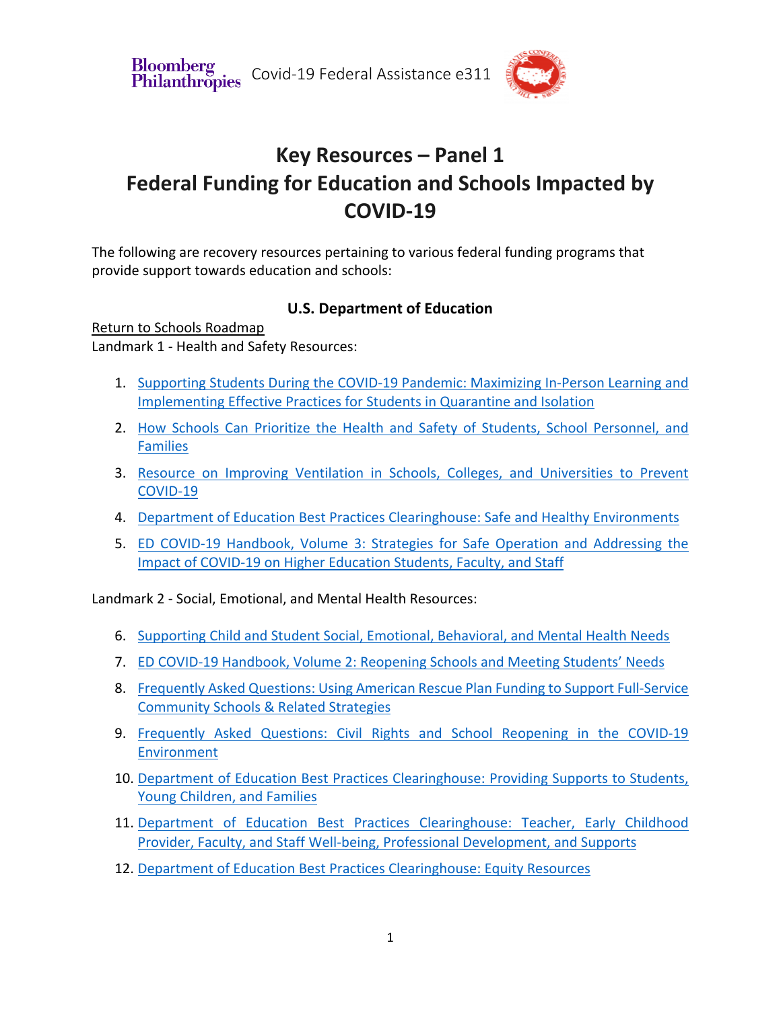**Bloomberg** Philanthropies Covid-19 Federal Assistance e311



# **Key Resources – Panel 1 Federal Funding for Education and Schools Impacted by COVID-19**

The following are recovery resources pertaining to various federal funding programs that provide support towards education and schools:

### **U.S. Department of Education**

Return to Schools Roadmap Landmark 1 - Health and Safety Resources:

- 1. Supporting Students During the COVID-19 Pandemic: Maximizing In-Person Learning and Implementing Effective Practices for Students in Quarantine and Isolation
- 2. How Schools Can Prioritize the Health and Safety of Students, School Personnel, and Families
- 3. Resource on Improving Ventilation in Schools, Colleges, and Universities to Prevent COVID-19
- 4. Department of Education Best Practices Clearinghouse: Safe and Healthy Environments
- 5. ED COVID-19 Handbook, Volume 3: Strategies for Safe Operation and Addressing the Impact of COVID-19 on Higher Education Students, Faculty, and Staff

Landmark 2 - Social, Emotional, and Mental Health Resources:

- 6. Supporting Child and Student Social, Emotional, Behavioral, and Mental Health Needs
- 7. ED COVID-19 Handbook, Volume 2: Reopening Schools and Meeting Students' Needs
- 8. Frequently Asked Questions: Using American Rescue Plan Funding to Support Full-Service Community Schools & Related Strategies
- 9. Frequently Asked Questions: Civil Rights and School Reopening in the COVID-19 Environment
- 10. Department of Education Best Practices Clearinghouse: Providing Supports to Students, Young Children, and Families
- 11. Department of Education Best Practices Clearinghouse: Teacher, Early Childhood Provider, Faculty, and Staff Well-being, Professional Development, and Supports
- 12. Department of Education Best Practices Clearinghouse: Equity Resources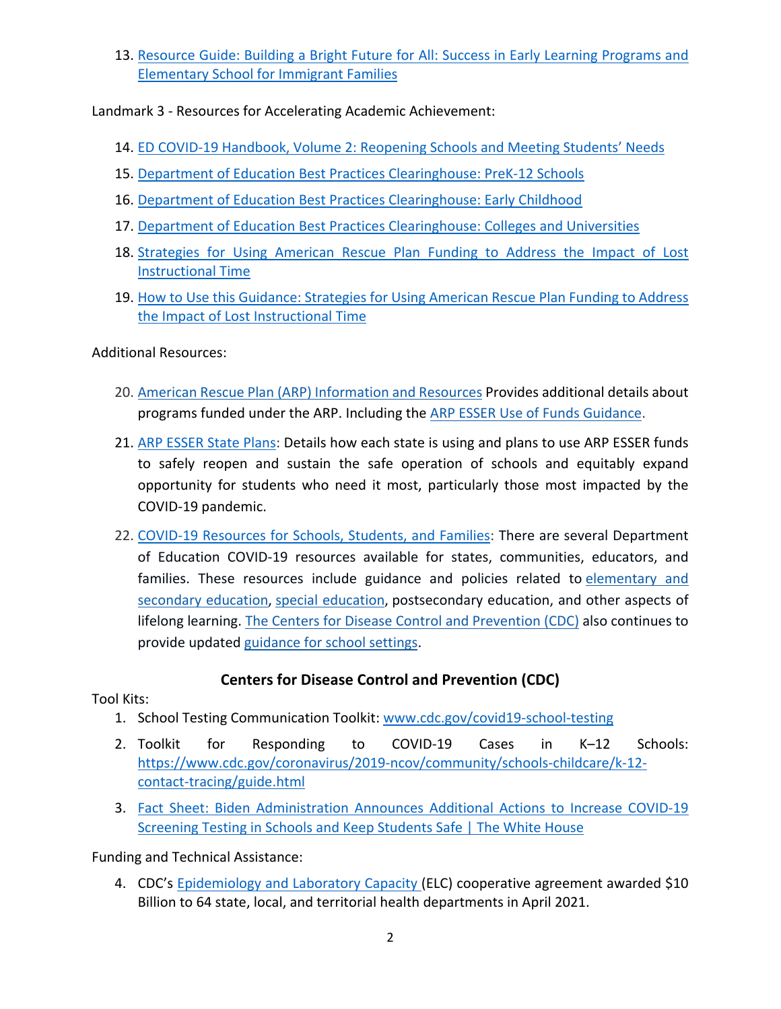13. Resource Guide: Building a Bright Future for All: Success in Early Learning Programs and Elementary School for Immigrant Families

Landmark 3 - Resources for Accelerating Academic Achievement:

- 14. ED COVID-19 Handbook, Volume 2: Reopening Schools and Meeting Students' Needs
- 15. Department of Education Best Practices Clearinghouse: PreK-12 Schools
- 16. Department of Education Best Practices Clearinghouse: Early Childhood
- 17. Department of Education Best Practices Clearinghouse: Colleges and Universities
- 18. Strategies for Using American Rescue Plan Funding to Address the Impact of Lost Instructional Time
- 19. How to Use this Guidance: Strategies for Using American Rescue Plan Funding to Address the Impact of Lost Instructional Time

Additional Resources:

- 20. American Rescue Plan (ARP) Information and Resources Provides additional details about programs funded under the ARP. Including the ARP ESSER Use of Funds Guidance.
- 21. ARP ESSER State Plans: Details how each state is using and plans to use ARP ESSER funds to safely reopen and sustain the safe operation of schools and equitably expand opportunity for students who need it most, particularly those most impacted by the COVID-19 pandemic.
- 22. COVID-19 Resources for Schools, Students, and Families: There are several Department of Education COVID-19 resources available for states, communities, educators, and families. These resources include guidance and policies related to elementary and secondary education, special education, postsecondary education, and other aspects of lifelong learning. The Centers for Disease Control and Prevention (CDC) also continues to provide updated guidance for school settings.

## **Centers for Disease Control and Prevention (CDC)**

Tool Kits:

- 1. School Testing Communication Toolkit: www.cdc.gov/covid19-school-testing
- 2. Toolkit for Responding to COVID-19 Cases in K–12 Schools: https://www.cdc.gov/coronavirus/2019-ncov/community/schools-childcare/k-12 contact-tracing/guide.html
- 3. Fact Sheet: Biden Administration Announces Additional Actions to Increase COVID-19 Screening Testing in Schools and Keep Students Safe | The White House

Funding and Technical Assistance:

4. CDC's Epidemiology and Laboratory Capacity (ELC) cooperative agreement awarded \$10 Billion to 64 state, local, and territorial health departments in April 2021.